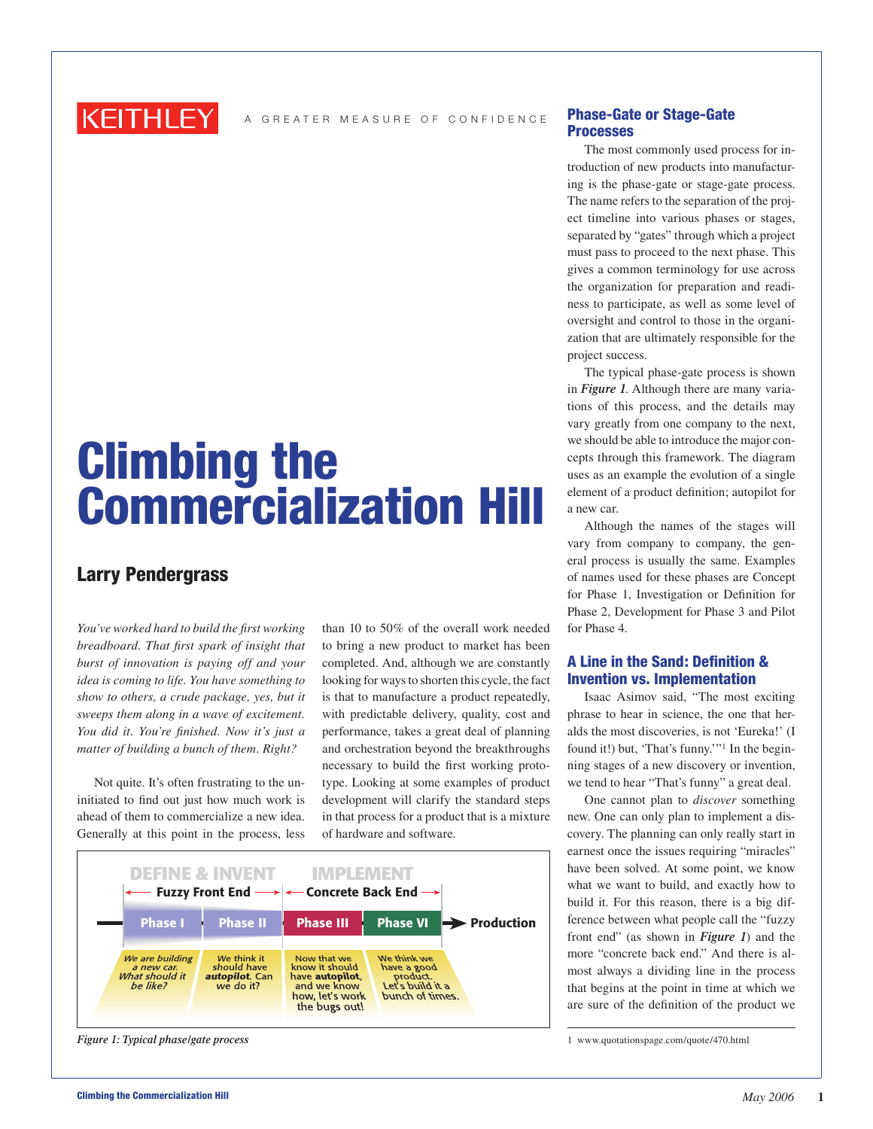

# Climbing the Commercialization Hill

# Larry Pendergrass

*You've worked hard to build the first working breadboard. That first spark of insight that burst of innovation is paying off and your idea is coming to life. You have something to show to others, a crude package, yes, but it sweeps them along in a wave of excitement. You did it. You're finished. Now it's just a matter of building a bunch of them. Right?*

Not quite. It's often frustrating to the uninitiated to find out just how much work is ahead of them to commercialize a new idea. Generally at this point in the process, less

than 10 to 50% of the overall work needed to bring a new product to market has been completed. And, although we are constantly looking for ways to shorten this cycle, the fact is that to manufacture a product repeatedly, with predictable delivery, quality, cost and performance, takes a great deal of planning and orchestration beyond the breakthroughs necessary to build the first working prototype. Looking at some examples of product development will clarify the standard steps in that process for a product that is a mixture of hardware and software.



*Figure 1: Typical phase/gate process*

## Phase-Gate or Stage-Gate **Processes**

The most commonly used process for introduction of new products into manufacturing is the phase-gate or stage-gate process. The name refers to the separation of the project timeline into various phases or stages, separated by "gates" through which a project must pass to proceed to the next phase. This gives a common terminology for use across the organization for preparation and readiness to participate, as well as some level of oversight and control to those in the organization that are ultimately responsible for the project success.

The typical phase-gate process is shown in *Figure 1*. Although there are many variations of this process, and the details may vary greatly from one company to the next, we should be able to introduce the major concepts through this framework. The diagram uses as an example the evolution of a single element of a product definition; autopilot for a new car.

Although the names of the stages will vary from company to company, the general process is usually the same. Examples of names used for these phases are Concept for Phase 1, Investigation or Definition for Phase 2, Development for Phase 3 and Pilot for Phase 4.

## A Line in the Sand: Definition & Invention vs. Implementation

Isaac Asimov said, "The most exciting phrase to hear in science, the one that heralds the most discoveries, is not 'Eureka!' (I found it!) but, 'That's funny.'"1 In the beginning stages of a new discovery or invention, we tend to hear "That's funny" a great deal.

One cannot plan to *discover* something new. One can only plan to implement a discovery. The planning can only really start in earnest once the issues requiring "miracles" have been solved. At some point, we know what we want to build, and exactly how to build it. For this reason, there is a big difference between what people call the "fuzzy front end" (as shown in *Figure 1*) and the more "concrete back end." And there is almost always a dividing line in the process that begins at the point in time at which we are sure of the definition of the product we

1 www.quotationspage.com/quote/470.html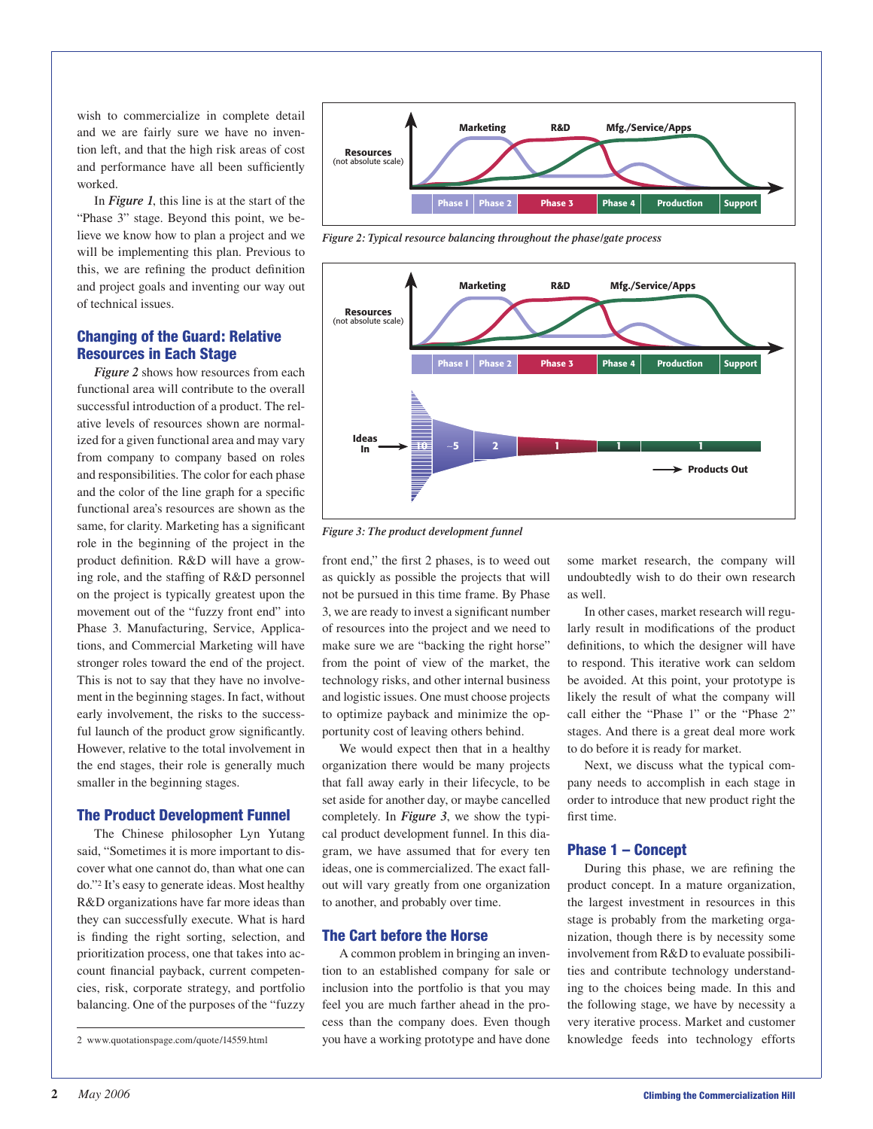wish to commercialize in complete detail and we are fairly sure we have no invention left, and that the high risk areas of cost and performance have all been sufficiently worked.

In *Figure 1*, this line is at the start of the "Phase 3" stage. Beyond this point, we believe we know how to plan a project and we will be implementing this plan. Previous to this, we are refining the product definition and project goals and inventing our way out of technical issues.

## Changing of the Guard: Relative Resources in Each Stage

*Figure 2* shows how resources from each functional area will contribute to the overall successful introduction of a product. The relative levels of resources shown are normalized for a given functional area and may vary from company to company based on roles and responsibilities. The color for each phase and the color of the line graph for a specific functional area's resources are shown as the same, for clarity. Marketing has a significant role in the beginning of the project in the product definition. R&D will have a growing role, and the staffing of R&D personnel on the project is typically greatest upon the movement out of the "fuzzy front end" into Phase 3. Manufacturing, Service, Applications, and Commercial Marketing will have stronger roles toward the end of the project. This is not to say that they have no involvement in the beginning stages. In fact, without early involvement, the risks to the successful launch of the product grow significantly. However, relative to the total involvement in the end stages, their role is generally much smaller in the beginning stages.

## The Product Development Funnel

The Chinese philosopher Lyn Yutang said, "Sometimes it is more important to discover what one cannot do, than what one can do."2 It's easy to generate ideas. Most healthy R&D organizations have far more ideas than they can successfully execute. What is hard is finding the right sorting, selection, and prioritization process, one that takes into account financial payback, current competencies, risk, corporate strategy, and portfolio balancing. One of the purposes of the "fuzzy



*Figure 2: Typical resource balancing throughout the phase/gate process*



*Figure 3: The product development funnel*

front end," the first 2 phases, is to weed out as quickly as possible the projects that will not be pursued in this time frame. By Phase 3, we are ready to invest a significant number of resources into the project and we need to make sure we are "backing the right horse" from the point of view of the market, the technology risks, and other internal business and logistic issues. One must choose projects to optimize payback and minimize the opportunity cost of leaving others behind.

We would expect then that in a healthy organization there would be many projects that fall away early in their lifecycle, to be set aside for another day, or maybe cancelled completely. In *Figure 3*, we show the typical product development funnel. In this diagram, we have assumed that for every ten ideas, one is commercialized. The exact fallout will vary greatly from one organization to another, and probably over time.

## The Cart before the Horse

A common problem in bringing an invention to an established company for sale or inclusion into the portfolio is that you may feel you are much farther ahead in the process than the company does. Even though you have a working prototype and have done some market research, the company will undoubtedly wish to do their own research as well.

In other cases, market research will regularly result in modifications of the product definitions, to which the designer will have to respond. This iterative work can seldom be avoided. At this point, your prototype is likely the result of what the company will call either the "Phase 1" or the "Phase 2" stages. And there is a great deal more work to do before it is ready for market.

Next, we discuss what the typical company needs to accomplish in each stage in order to introduce that new product right the first time.

## Phase 1 – Concept

During this phase, we are refining the product concept. In a mature organization, the largest investment in resources in this stage is probably from the marketing organization, though there is by necessity some involvement from R&D to evaluate possibilities and contribute technology understanding to the choices being made. In this and the following stage, we have by necessity a very iterative process. Market and customer knowledge feeds into technology efforts

<sup>2</sup> www.quotationspage.com/quote/14559.html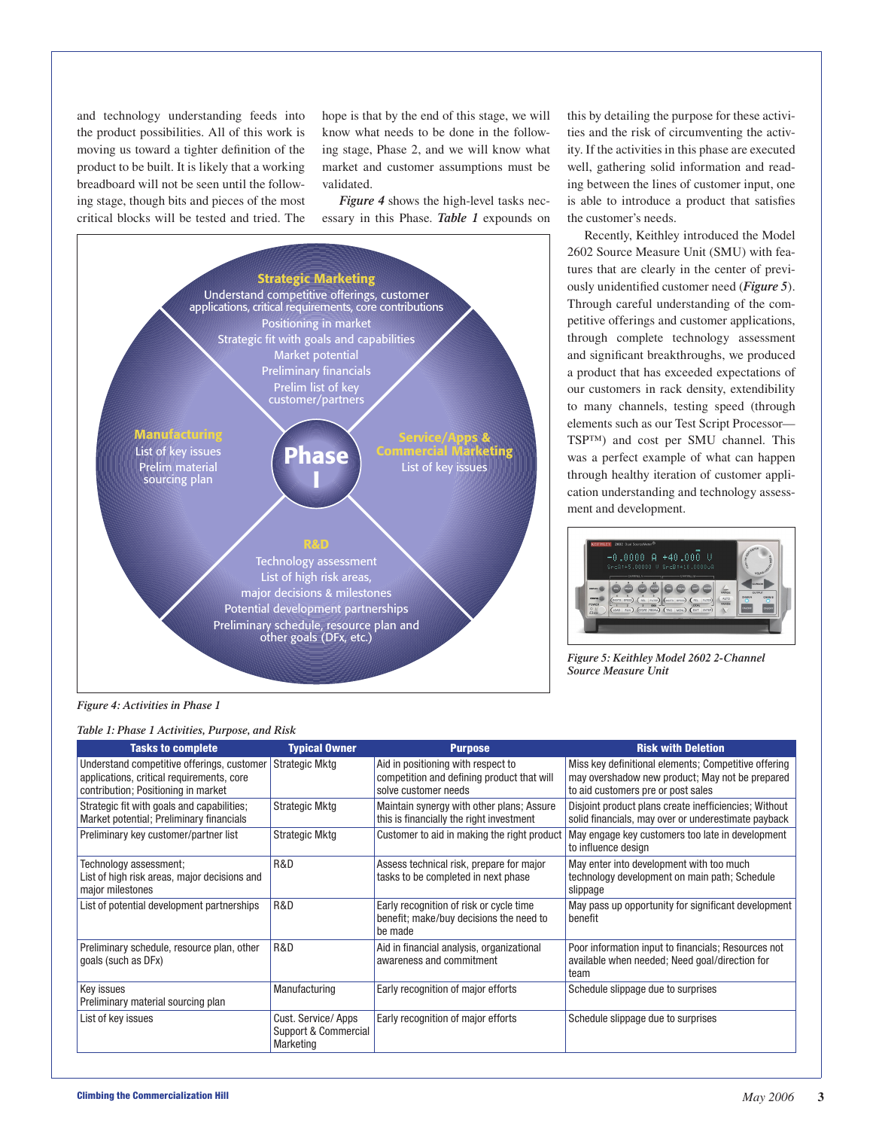and technology understanding feeds into the product possibilities. All of this work is moving us toward a tighter definition of the product to be built. It is likely that a working breadboard will not be seen until the following stage, though bits and pieces of the most critical blocks will be tested and tried. The hope is that by the end of this stage, we will know what needs to be done in the following stage, Phase 2, and we will know what market and customer assumptions must be validated.

*Figure 4* shows the high-level tasks necessary in this Phase. *Table 1* expounds on



this by detailing the purpose for these activities and the risk of circumventing the activity. If the activities in this phase are executed well, gathering solid information and reading between the lines of customer input, one is able to introduce a product that satisfies the customer's needs.

Recently, Keithley introduced the Model 2602 Source Measure Unit (SMU) with features that are clearly in the center of previously unidentified customer need (*Figure 5*). Through careful understanding of the competitive offerings and customer applications, through complete technology assessment and significant breakthroughs, we produced a product that has exceeded expectations of our customers in rack density, extendibility to many channels, testing speed (through elements such as our Test Script Processor— TSP™) and cost per SMU channel. This was a perfect example of what can happen through healthy iteration of customer application understanding and technology assessment and development.



*Figure 5: Keithley Model 2602 2-Channel Source Measure Unit*

| Table 1: Phase 1 Activities, Purpose, and Risk                                                                                 |                                                         |                                                                                                          |                                                                                                                                               |
|--------------------------------------------------------------------------------------------------------------------------------|---------------------------------------------------------|----------------------------------------------------------------------------------------------------------|-----------------------------------------------------------------------------------------------------------------------------------------------|
| <b>Tasks to complete</b>                                                                                                       | <b>Typical Owner</b>                                    | <b>Purpose</b>                                                                                           | <b>Risk with Deletion</b>                                                                                                                     |
| Understand competitive offerings, customer<br>applications, critical requirements, core<br>contribution; Positioning in market | <b>Strategic Mktg</b>                                   | Aid in positioning with respect to<br>competition and defining product that will<br>solve customer needs | Miss key definitional elements; Competitive offering<br>may overshadow new product; May not be prepared<br>to aid customers pre or post sales |
| Strategic fit with goals and capabilities;<br>Market potential; Preliminary financials                                         | <b>Strategic Mktg</b>                                   | Maintain synergy with other plans; Assure<br>this is financially the right investment                    | Disjoint product plans create inefficiencies; Without<br>solid financials, may over or underestimate payback                                  |
| Preliminary key customer/partner list                                                                                          | <b>Strategic Mktg</b>                                   | Customer to aid in making the right product                                                              | May engage key customers too late in development<br>to influence design                                                                       |
| Technology assessment;<br>List of high risk areas, major decisions and<br>major milestones                                     | R&D                                                     | Assess technical risk, prepare for major<br>tasks to be completed in next phase                          | May enter into development with too much<br>technology development on main path; Schedule<br>slippage                                         |
| List of potential development partnerships                                                                                     | R&D                                                     | Early recognition of risk or cycle time<br>benefit; make/buy decisions the need to<br>be made            | May pass up opportunity for significant development<br>benefit                                                                                |
| Preliminary schedule, resource plan, other<br>goals (such as DFx)                                                              | R&D                                                     | Aid in financial analysis, organizational<br>awareness and commitment                                    | Poor information input to financials; Resources not<br>available when needed; Need goal/direction for<br>team                                 |
| Key issues<br>Preliminary material sourcing plan                                                                               | Manufacturing                                           | Early recognition of major efforts                                                                       | Schedule slippage due to surprises                                                                                                            |
| List of key issues                                                                                                             | Cust. Service/Apps<br>Support & Commercial<br>Marketing | Early recognition of major efforts                                                                       | Schedule slippage due to surprises                                                                                                            |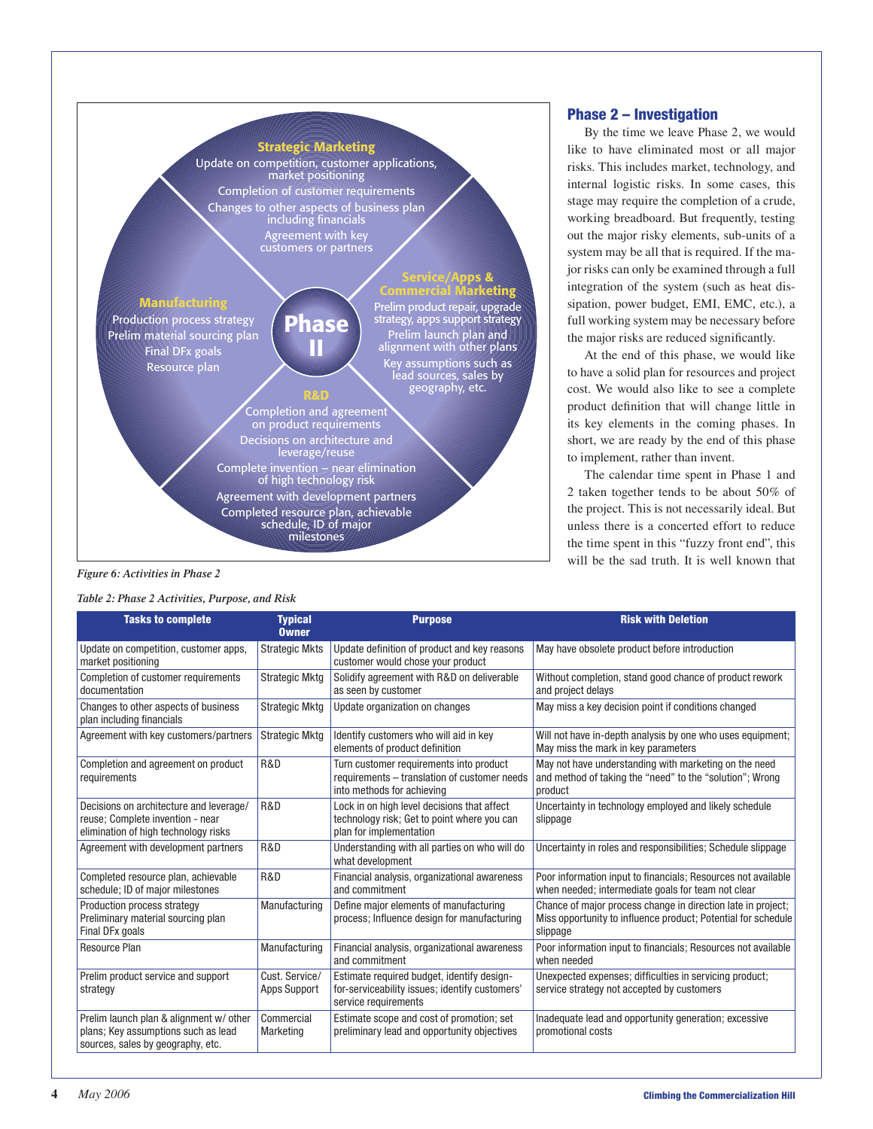

# Phase 2 – Investigation

By the time we leave Phase 2, we would like to have eliminated most or all major risks. This includes market, technology, and internal logistic risks. In some cases, this stage may require the completion of a crude, working breadboard. But frequently, testing out the major risky elements, sub-units of a system may be all that is required. If the major risks can only be examined through a full integration of the system (such as heat dissipation, power budget, EMI, EMC, etc.), a full working system may be necessary before the major risks are reduced significantly.

At the end of this phase, we would like to have a solid plan for resources and project cost. We would also like to see a complete product definition that will change little in its key elements in the coming phases. In short, we are ready by the end of this phase to implement, rather than invent.

The calendar time spent in Phase 1 and 2 taken together tends to be about 50% of the project. This is not necessarily ideal. But unless there is a concerted effort to reduce the time spent in this "fuzzy front end", this will be the sad truth. It is well known that

#### *Figure 6: Activities in Phase 2*

#### *Table 2: Phase 2 Activities, Purpose, and Risk*

| <b>Tasks to complete</b>                                                                                            | <b>Typical</b><br><b>Owner</b>        | <b>Purpose</b>                                                                                                        | <b>Risk with Deletion</b>                                                                                                                 |
|---------------------------------------------------------------------------------------------------------------------|---------------------------------------|-----------------------------------------------------------------------------------------------------------------------|-------------------------------------------------------------------------------------------------------------------------------------------|
| Update on competition, customer apps,<br>market positioning                                                         | <b>Strategic Mkts</b>                 | Update definition of product and key reasons<br>customer would chose your product                                     | May have obsolete product before introduction                                                                                             |
| Completion of customer requirements<br>documentation                                                                | <b>Strategic Mktg</b>                 | Solidify agreement with R&D on deliverable<br>as seen by customer                                                     | Without completion, stand good chance of product rework<br>and project delays                                                             |
| Changes to other aspects of business<br>plan including financials                                                   | <b>Strategic Mktg</b>                 | Update organization on changes                                                                                        | May miss a key decision point if conditions changed                                                                                       |
| Agreement with key customers/partners                                                                               | <b>Strategic Mktg</b>                 | Identify customers who will aid in key<br>elements of product definition                                              | Will not have in-depth analysis by one who uses equipment;<br>May miss the mark in key parameters                                         |
| Completion and agreement on product<br>requirements                                                                 | R&D                                   | Turn customer requirements into product<br>requirements - translation of customer needs<br>into methods for achieving | May not have understanding with marketing on the need<br>and method of taking the "need" to the "solution"; Wrong<br>product              |
| Decisions on architecture and leverage/<br>reuse; Complete invention - near<br>elimination of high technology risks | R&D                                   | Lock in on high level decisions that affect<br>technology risk; Get to point where you can<br>plan for implementation | Uncertainty in technology employed and likely schedule<br>slippage                                                                        |
| Agreement with development partners                                                                                 | R&D                                   | Understanding with all parties on who will do<br>what development                                                     | Uncertainty in roles and responsibilities; Schedule slippage                                                                              |
| Completed resource plan, achievable<br>schedule; ID of major milestones                                             | R&D                                   | Financial analysis, organizational awareness<br>and commitment                                                        | Poor information input to financials; Resources not available<br>when needed; intermediate goals for team not clear                       |
| Production process strategy<br>Preliminary material sourcing plan<br>Final DFx goals                                | Manufacturing                         | Define major elements of manufacturing<br>process; Influence design for manufacturing                                 | Chance of major process change in direction late in project;<br>Miss opportunity to influence product; Potential for schedule<br>slippage |
| <b>Resource Plan</b>                                                                                                | Manufacturing                         | Financial analysis, organizational awareness<br>and commitment                                                        | Poor information input to financials; Resources not available<br>when needed                                                              |
| Prelim product service and support<br>strategy                                                                      | Cust. Service/<br><b>Apps Support</b> | Estimate required budget, identify design-<br>for-serviceability issues; identify customers'<br>service requirements  | Unexpected expenses; difficulties in servicing product;<br>service strategy not accepted by customers                                     |
| Prelim launch plan & alignment w/ other<br>plans; Key assumptions such as lead<br>sources, sales by geography, etc. | Commercial<br>Marketing               | Estimate scope and cost of promotion; set<br>preliminary lead and opportunity objectives                              | Inadequate lead and opportunity generation; excessive<br>promotional costs                                                                |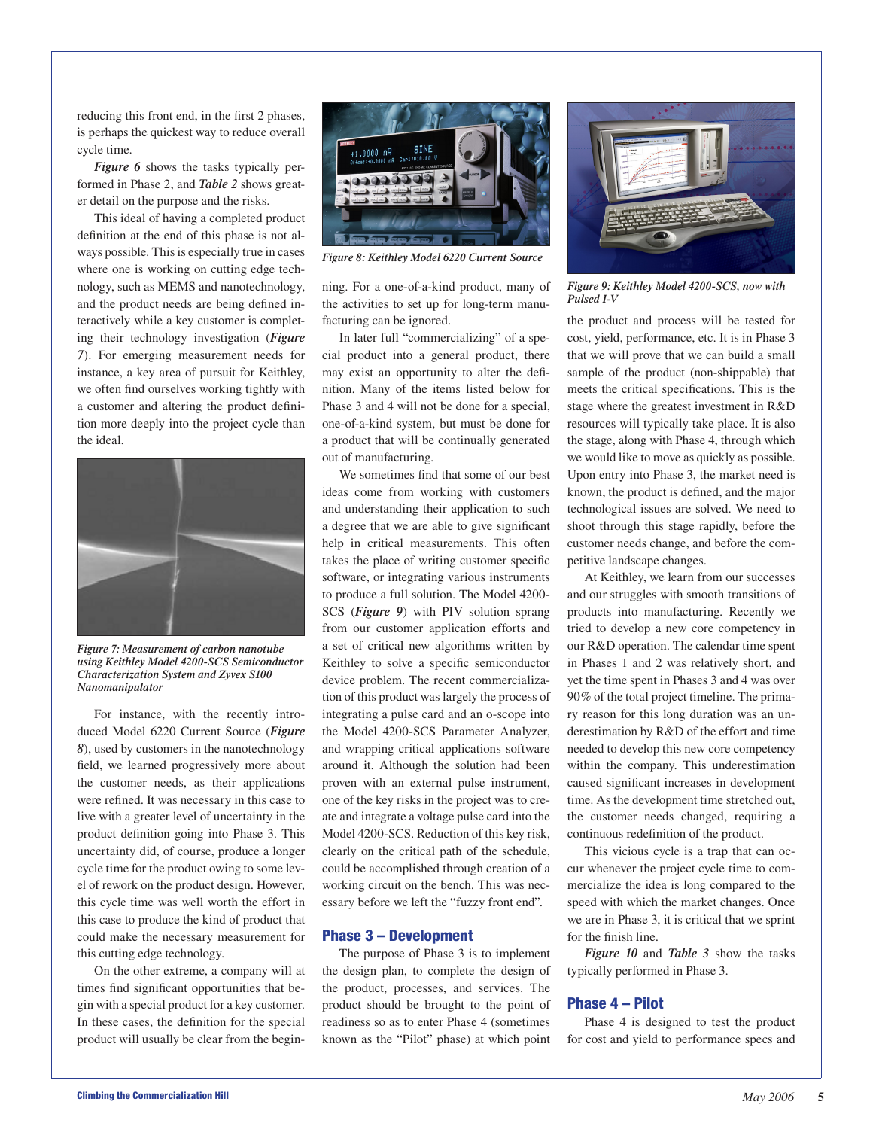reducing this front end, in the first 2 phases, is perhaps the quickest way to reduce overall cycle time.

*Figure 6* shows the tasks typically performed in Phase 2, and *Table 2* shows greater detail on the purpose and the risks.

This ideal of having a completed product definition at the end of this phase is not always possible. This is especially true in cases where one is working on cutting edge technology, such as MEMS and nanotechnology, and the product needs are being defined interactively while a key customer is completing their technology investigation (*Figure 7*). For emerging measurement needs for instance, a key area of pursuit for Keithley, we often find ourselves working tightly with a customer and altering the product definition more deeply into the project cycle than the ideal.



*Figure 7: Measurement of carbon nanotube using Keithley Model 4200-SCS Semiconductor Characterization System and Zyvex S100 Nanomanipulator*

For instance, with the recently introduced Model 6220 Current Source (*Figure 8*), used by customers in the nanotechnology field, we learned progressively more about the customer needs, as their applications were refined. It was necessary in this case to live with a greater level of uncertainty in the product definition going into Phase 3. This uncertainty did, of course, produce a longer cycle time for the product owing to some level of rework on the product design. However, this cycle time was well worth the effort in this case to produce the kind of product that could make the necessary measurement for this cutting edge technology.

On the other extreme, a company will at times find significant opportunities that begin with a special product for a key customer. In these cases, the definition for the special product will usually be clear from the begin-



*Figure 8: Keithley Model 6220 Current Source*

ning. For a one-of-a-kind product, many of the activities to set up for long-term manufacturing can be ignored.

In later full "commercializing" of a special product into a general product, there may exist an opportunity to alter the definition. Many of the items listed below for Phase 3 and 4 will not be done for a special, one-of-a-kind system, but must be done for a product that will be continually generated out of manufacturing.

We sometimes find that some of our best ideas come from working with customers and understanding their application to such a degree that we are able to give significant help in critical measurements. This often takes the place of writing customer specific software, or integrating various instruments to produce a full solution. The Model 4200- SCS (*Figure 9*) with PIV solution sprang from our customer application efforts and a set of critical new algorithms written by Keithley to solve a specific semiconductor device problem. The recent commercialization of this product was largely the process of integrating a pulse card and an o-scope into the Model 4200-SCS Parameter Analyzer, and wrapping critical applications software around it. Although the solution had been proven with an external pulse instrument, one of the key risks in the project was to create and integrate a voltage pulse card into the Model 4200-SCS. Reduction of this key risk, clearly on the critical path of the schedule, could be accomplished through creation of a working circuit on the bench. This was necessary before we left the "fuzzy front end".

## Phase 3 – Development

The purpose of Phase 3 is to implement the design plan, to complete the design of the product, processes, and services. The product should be brought to the point of readiness so as to enter Phase 4 (sometimes known as the "Pilot" phase) at which point



*Figure 9: Keithley Model 4200-SCS, now with Pulsed I-V*

the product and process will be tested for cost, yield, performance, etc. It is in Phase 3 that we will prove that we can build a small sample of the product (non-shippable) that meets the critical specifications. This is the stage where the greatest investment in R&D resources will typically take place. It is also the stage, along with Phase 4, through which we would like to move as quickly as possible. Upon entry into Phase 3, the market need is known, the product is defined, and the major technological issues are solved. We need to shoot through this stage rapidly, before the customer needs change, and before the competitive landscape changes.

At Keithley, we learn from our successes and our struggles with smooth transitions of products into manufacturing. Recently we tried to develop a new core competency in our R&D operation. The calendar time spent in Phases 1 and 2 was relatively short, and yet the time spent in Phases 3 and 4 was over 90% of the total project timeline. The primary reason for this long duration was an underestimation by R&D of the effort and time needed to develop this new core competency within the company. This underestimation caused significant increases in development time. As the development time stretched out, the customer needs changed, requiring a continuous redefinition of the product.

This vicious cycle is a trap that can occur whenever the project cycle time to commercialize the idea is long compared to the speed with which the market changes. Once we are in Phase 3, it is critical that we sprint for the finish line.

*Figure 10* and *Table 3* show the tasks typically performed in Phase 3.

### Phase 4 – Pilot

Phase 4 is designed to test the product for cost and yield to performance specs and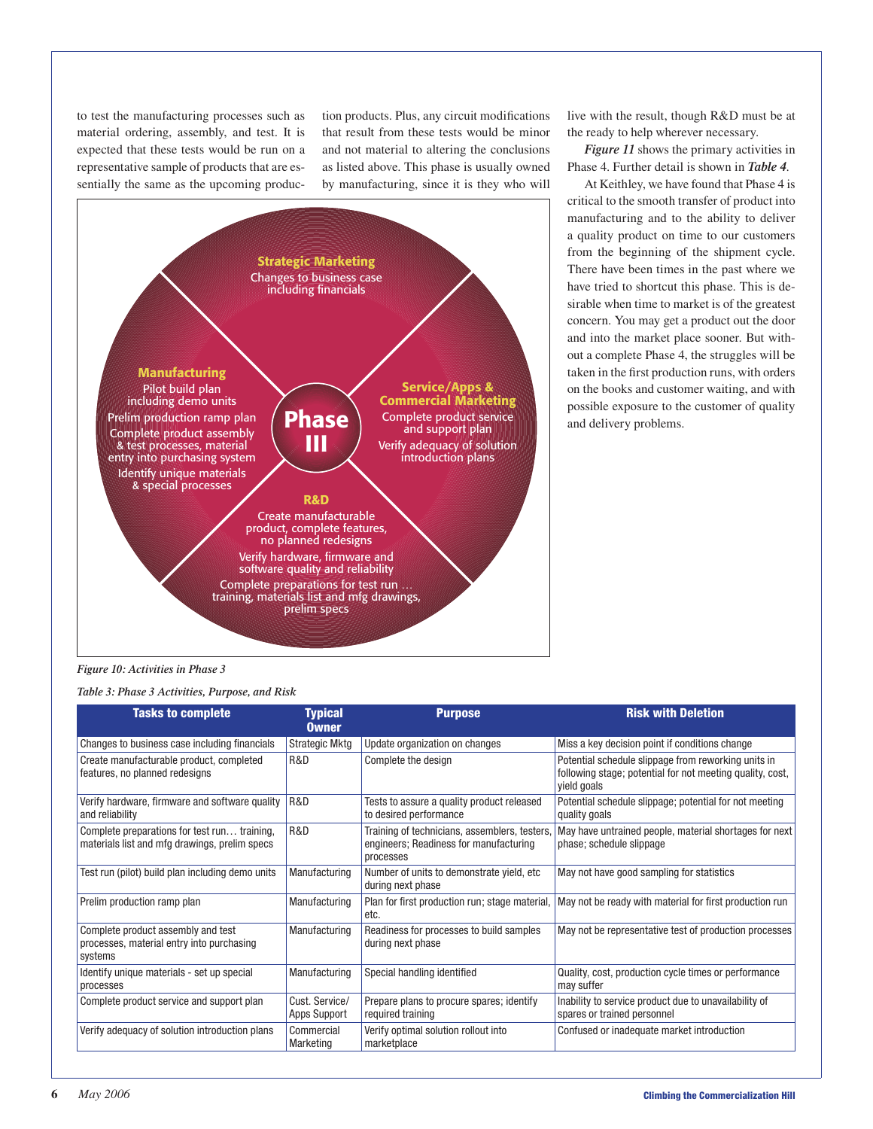to test the manufacturing processes such as material ordering, assembly, and test. It is expected that these tests would be run on a representative sample of products that are essentially the same as the upcoming production products. Plus, any circuit modifications that result from these tests would be minor and not material to altering the conclusions as listed above. This phase is usually owned by manufacturing, since it is they who will



live with the result, though R&D must be at the ready to help wherever necessary.

*Figure 11* shows the primary activities in Phase 4. Further detail is shown in *Table 4*.

At Keithley, we have found that Phase 4 is critical to the smooth transfer of product into manufacturing and to the ability to deliver a quality product on time to our customers from the beginning of the shipment cycle. There have been times in the past where we have tried to shortcut this phase. This is desirable when time to market is of the greatest concern. You may get a product out the door and into the market place sooner. But without a complete Phase 4, the struggles will be taken in the first production runs, with orders on the books and customer waiting, and with possible exposure to the customer of quality and delivery problems.

*Figure 10: Activities in Phase 3*

*Table 3: Phase 3 Activities, Purpose, and Risk*

| <b>Tasks to complete</b>                                                                      | <b>Typical</b><br><b>Owner</b> | <b>Purpose</b>                                                                                       | <b>Risk with Deletion</b>                                                                                                       |
|-----------------------------------------------------------------------------------------------|--------------------------------|------------------------------------------------------------------------------------------------------|---------------------------------------------------------------------------------------------------------------------------------|
| Changes to business case including financials                                                 | <b>Strategic Mktg</b>          | Update organization on changes                                                                       | Miss a key decision point if conditions change                                                                                  |
| Create manufacturable product, completed<br>features, no planned redesigns                    | R&D                            | Complete the design                                                                                  | Potential schedule slippage from reworking units in<br>following stage; potential for not meeting quality, cost,<br>yield goals |
| Verify hardware, firmware and software quality<br>and reliability                             | R&D                            | Tests to assure a quality product released<br>to desired performance                                 | Potential schedule slippage; potential for not meeting<br>quality goals                                                         |
| Complete preparations for test run training,<br>materials list and mfg drawings, prelim specs | R&D                            | Training of technicians, assemblers, testers,<br>engineers; Readiness for manufacturing<br>processes | May have untrained people, material shortages for next<br>phase; schedule slippage                                              |
| Test run (pilot) build plan including demo units                                              | Manufacturing                  | Number of units to demonstrate yield, etc.<br>during next phase                                      | May not have good sampling for statistics                                                                                       |
| Prelim production ramp plan                                                                   | Manufacturing                  | Plan for first production run; stage material,<br>etc.                                               | May not be ready with material for first production run                                                                         |
| Complete product assembly and test<br>processes, material entry into purchasing<br>systems    | Manufacturing                  | Readiness for processes to build samples<br>during next phase                                        | May not be representative test of production processes                                                                          |
| Identify unique materials - set up special<br>processes                                       | Manufacturing                  | Special handling identified                                                                          | Quality, cost, production cycle times or performance<br>may suffer                                                              |
| Complete product service and support plan                                                     | Cust. Service/<br>Apps Support | Prepare plans to procure spares; identify<br>required training                                       | Inability to service product due to unavailability of<br>spares or trained personnel                                            |
| Verify adequacy of solution introduction plans                                                | Commercial<br>Marketing        | Verify optimal solution rollout into<br>marketplace                                                  | Confused or inadequate market introduction                                                                                      |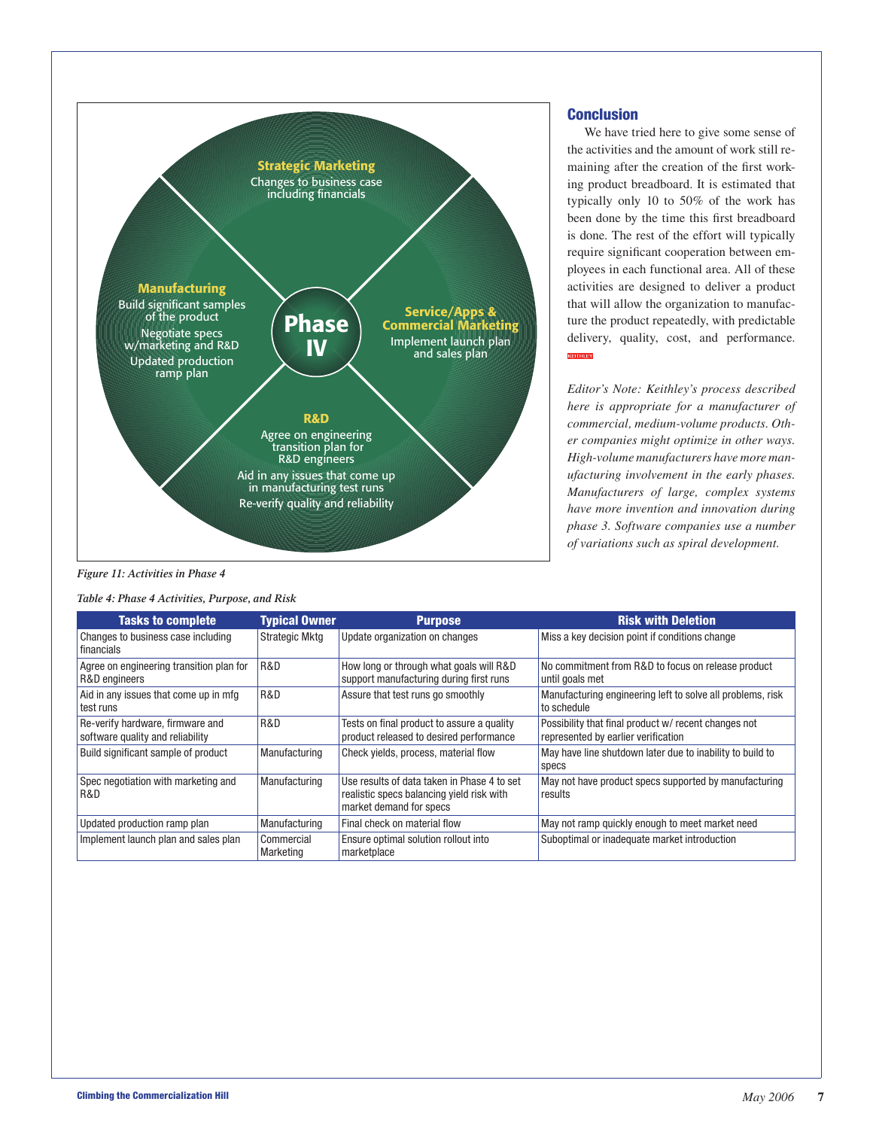

# **Conclusion**

We have tried here to give some sense of the activities and the amount of work still remaining after the creation of the first working product breadboard. It is estimated that typically only 10 to 50% of the work has been done by the time this first breadboard is done. The rest of the effort will typically require significant cooperation between employees in each functional area. All of these activities are designed to deliver a product that will allow the organization to manufacture the product repeatedly, with predictable delivery, quality, cost, and performance. KETHLEY

*Editor's Note: Keithley's process described here is appropriate for a manufacturer of commercial, medium-volume products. Other companies might optimize in other ways. High-volume manufacturers have more manufacturing involvement in the early phases. Manufacturers of large, complex systems have more invention and innovation during phase 3. Software companies use a number of variations such as spiral development.*

*Figure 11: Activities in Phase 4*

|  | Table 4: Phase 4 Activities, Purpose, and Risk |  |  |
|--|------------------------------------------------|--|--|
|--|------------------------------------------------|--|--|

| <b>Tasks to complete</b>                                             | <b>Typical Owner</b>    | <b>Purpose</b>                                                                                                      | <b>Risk with Deletion</b>                                                                  |
|----------------------------------------------------------------------|-------------------------|---------------------------------------------------------------------------------------------------------------------|--------------------------------------------------------------------------------------------|
| Changes to business case including<br>financials                     | <b>Strategic Mktg</b>   | Update organization on changes                                                                                      | Miss a key decision point if conditions change                                             |
| Agree on engineering transition plan for<br><b>R&amp;D</b> engineers | R&D                     | How long or through what goals will R&D<br>support manufacturing during first runs                                  | No commitment from R&D to focus on release product<br>until goals met                      |
| Aid in any issues that come up in mfg<br>test runs                   | R&D                     | Assure that test runs go smoothly                                                                                   | Manufacturing engineering left to solve all problems, risk<br>to schedule                  |
| Re-verify hardware, firmware and<br>software quality and reliability | R&D                     | Tests on final product to assure a quality<br>product released to desired performance                               | Possibility that final product w/recent changes not<br>represented by earlier verification |
| Build significant sample of product                                  | Manufacturing           | Check yields, process, material flow                                                                                | May have line shutdown later due to inability to build to<br>specs                         |
| Spec negotiation with marketing and<br>R&D                           | Manufacturing           | Use results of data taken in Phase 4 to set<br>realistic specs balancing yield risk with<br>market demand for specs | May not have product specs supported by manufacturing<br>results                           |
| Updated production ramp plan                                         | Manufacturing           | Final check on material flow                                                                                        | May not ramp quickly enough to meet market need                                            |
| Implement launch plan and sales plan                                 | Commercial<br>Marketing | Ensure optimal solution rollout into<br>marketplace                                                                 | Suboptimal or inadequate market introduction                                               |